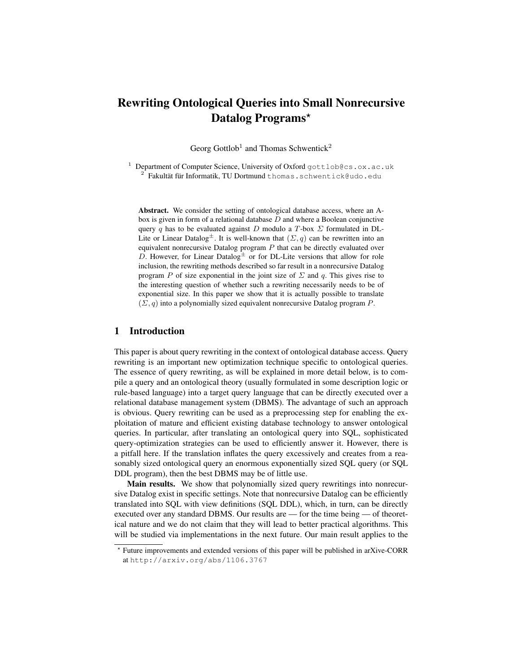# Rewriting Ontological Queries into Small Nonrecursive Datalog Programs\*

Georg Gottlob<sup>1</sup> and Thomas Schwentick<sup>2</sup>

<sup>1</sup> Department of Computer Science, University of Oxford gottlob@cs.ox.ac.uk 2 Fakultät für Informatik, TU Dortmund thomas.schwentick@udo.edu

Abstract. We consider the setting of ontological database access, where an Abox is given in form of a relational database  $D$  and where a Boolean conjunctive query q has to be evaluated against D modulo a T-box  $\Sigma$  formulated in DL-Lite or Linear Datalog<sup> $\pm$ </sup>. It is well-known that  $(\Sigma, q)$  can be rewritten into an equivalent nonrecursive Datalog program  $P$  that can be directly evaluated over D. However, for Linear Datalog<sup> $\pm$ </sup> or for DL-Lite versions that allow for role inclusion, the rewriting methods described so far result in a nonrecursive Datalog program P of size exponential in the joint size of  $\Sigma$  and q. This gives rise to the interesting question of whether such a rewriting necessarily needs to be of exponential size. In this paper we show that it is actually possible to translate  $(\Sigma, q)$  into a polynomially sized equivalent nonrecursive Datalog program P.

## 1 Introduction

This paper is about query rewriting in the context of ontological database access. Query rewriting is an important new optimization technique specific to ontological queries. The essence of query rewriting, as will be explained in more detail below, is to compile a query and an ontological theory (usually formulated in some description logic or rule-based language) into a target query language that can be directly executed over a relational database management system (DBMS). The advantage of such an approach is obvious. Query rewriting can be used as a preprocessing step for enabling the exploitation of mature and efficient existing database technology to answer ontological queries. In particular, after translating an ontological query into SQL, sophisticated query-optimization strategies can be used to efficiently answer it. However, there is a pitfall here. If the translation inflates the query excessively and creates from a reasonably sized ontological query an enormous exponentially sized SQL query (or SQL DDL program), then the best DBMS may be of little use.

Main results. We show that polynomially sized query rewritings into nonrecursive Datalog exist in specific settings. Note that nonrecursive Datalog can be efficiently translated into SQL with view definitions (SQL DDL), which, in turn, can be directly executed over any standard DBMS. Our results are — for the time being — of theoretical nature and we do not claim that they will lead to better practical algorithms. This will be studied via implementations in the next future. Our main result applies to the

<sup>?</sup> Future improvements and extended versions of this paper will be published in arXive-CORR at http://arxiv.org/abs/1106.3767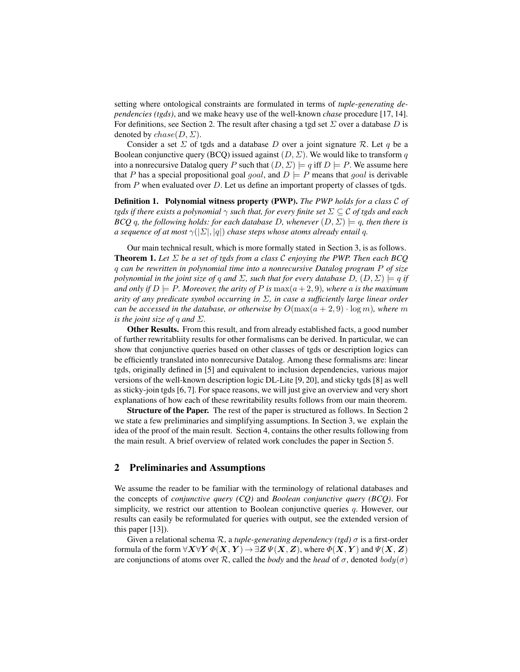setting where ontological constraints are formulated in terms of *tuple-generating dependencies (tgds)*, and we make heavy use of the well-known *chase* procedure [17, 14]. For definitions, see Section 2. The result after chasing a tgd set  $\Sigma$  over a database D is denoted by  $chase(D, \Sigma)$ .

Consider a set  $\Sigma$  of tgds and a database D over a joint signature R. Let q be a Boolean conjunctive query (BCQ) issued against  $(D, \Sigma)$ . We would like to transform q into a nonrecursive Datalog query P such that  $(D, \Sigma) \models q$  iff  $D \models P$ . We assume here that P has a special propositional goal goal, and  $D \models P$  means that goal is derivable from  $P$  when evaluated over  $D$ . Let us define an important property of classes of tgds.

Definition 1. Polynomial witness property (PWP). *The PWP holds for a class* C *of tgds if there exists a polynomial* γ *such that, for every finite set* Σ ⊆ C *of tgds and each BCQ* q, the following holds: for each database D, whenever  $(D, \Sigma) \models q$ , then there is *a sequence of at most*  $\gamma(|\Sigma|, |q|)$  *chase steps whose atoms already entail q.* 

Our main technical result, which is more formally stated in Section 3, is as follows. Theorem 1. *Let* Σ *be a set of tgds from a class* C *enjoying the PWP. Then each BCQ* q *can be rewritten in polynomial time into a nonrecursive Datalog program* P *of size polynomial in the joint size of q and*  $\Sigma$ , *such that for every database*  $D$ ,  $(D, \Sigma) \models q$  *if and only if*  $D \models P$ *. Moreover, the arity of* P *is* max $(a+2, 9)$ *, where a is the maximum arity of any predicate symbol occurring in* Σ*, in case a sufficiently large linear order can be accessed in the database, or otherwise by*  $O(\max(a + 2, 9) \cdot \log m)$ *, where* m *is the joint size of q and*  $\Sigma$ *.* 

Other Results. From this result, and from already established facts, a good number of further rewritabliity results for other formalisms can be derived. In particular, we can show that conjunctive queries based on other classes of tgds or description logics can be efficiently translated into nonrecursive Datalog. Among these formalisms are: linear tgds, originally defined in [5] and equivalent to inclusion dependencies, various major versions of the well-known description logic DL-Lite [9, 20], and sticky tgds [8] as well as sticky-join tgds [6, 7]. For space reasons, we will just give an overview and very short explanations of how each of these rewritability results follows from our main theorem.

Structure of the Paper. The rest of the paper is structured as follows. In Section 2 we state a few preliminaries and simplifying assumptions. In Section 3, we explain the idea of the proof of the main result. Section 4, contains the other results following from the main result. A brief overview of related work concludes the paper in Section 5.

### 2 Preliminaries and Assumptions

We assume the reader to be familiar with the terminology of relational databases and the concepts of *conjunctive query (CQ)* and *Boolean conjunctive query (BCQ)*. For simplicity, we restrict our attention to Boolean conjunctive queries  $q$ . However, our results can easily be reformulated for queries with output, see the extended version of this paper [13]).

Given a relational schema R, a *tuple-generating dependency (tgd)* σ is a first-order formula of the form  $\forall X \forall Y \Phi(X, Y) \rightarrow \exists Z \Psi(X, Z)$ , where  $\Phi(X, Y)$  and  $\Psi(X, Z)$ are conjunctions of atoms over R, called the *body* and the *head* of  $\sigma$ , denoted  $body(\sigma)$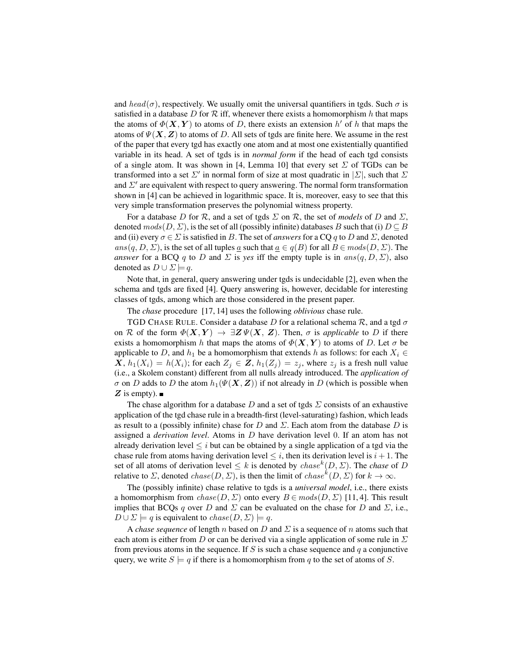and  $head(\sigma)$ , respectively. We usually omit the universal quantifiers in tgds. Such  $\sigma$  is satisfied in a database D for  $R$  iff, whenever there exists a homomorphism h that maps the atoms of  $\Phi(X, Y)$  to atoms of D, there exists an extension h' of h that maps the atoms of  $\Psi(X, Z)$  to atoms of D. All sets of tgds are finite here. We assume in the rest of the paper that every tgd has exactly one atom and at most one existentially quantified variable in its head. A set of tgds is in *normal form* if the head of each tgd consists of a single atom. It was shown in [4, Lemma 10] that every set  $\Sigma$  of TGDs can be transformed into a set  $\Sigma'$  in normal form of size at most quadratic in  $|\Sigma|$ , such that  $\Sigma$ and  $\Sigma'$  are equivalent with respect to query answering. The normal form transformation shown in [4] can be achieved in logarithmic space. It is, moreover, easy to see that this very simple transformation preserves the polynomial witness property.

For a database D for R, and a set of tgds  $\Sigma$  on R, the set of *models* of D and  $\Sigma$ , denoted  $mods(D, \Sigma)$ , is the set of all (possibly infinite) databases B such that (i)  $D \subseteq B$ and (ii) every  $\sigma \in \Sigma$  is satisfied in B. The set of *answers* for a CQ q to D and  $\Sigma$ , denoted ans $(q, D, \Sigma)$ , is the set of all tuples <u>a</u> such that  $a \in q(B)$  for all  $B \in mods(D, \Sigma)$ . The *answer* for a BCQ q to D and  $\Sigma$  is yes iff the empty tuple is in ans $(q, D, \Sigma)$ , also denoted as  $D \cup \Sigma \models q$ .

Note that, in general, query answering under tgds is undecidable [2], even when the schema and tgds are fixed [4]. Query answering is, however, decidable for interesting classes of tgds, among which are those considered in the present paper.

The *chase* procedure [17, 14] uses the following *oblivious* chase rule.

TGD CHASE RULE. Consider a database D for a relational schema  $\mathcal{R}$ , and a tgd  $\sigma$ on R of the form  $\Phi(X, Y) \to \exists Z \Psi(X, Z)$ . Then,  $\sigma$  is *applicable* to D if there exists a homomorphism h that maps the atoms of  $\Phi(X, Y)$  to atoms of D. Let  $\sigma$  be applicable to D, and  $h_1$  be a homomorphism that extends h as follows: for each  $X_i \in$  $X, h_1(X_i) = h(X_i)$ ; for each  $Z_j \in \mathbb{Z}$ ,  $h_1(Z_j) = z_j$ , where  $z_j$  is a fresh null value (i.e., a Skolem constant) different from all nulls already introduced. The *application of*  $\sigma$  on D adds to D the atom  $h_1(\Psi(\mathbf{X}, \mathbf{Z}))$  if not already in D (which is possible when Z is empty).

The chase algorithm for a database D and a set of tgds  $\Sigma$  consists of an exhaustive application of the tgd chase rule in a breadth-first (level-saturating) fashion, which leads as result to a (possibly infinite) chase for D and  $\Sigma$ . Each atom from the database D is assigned a *derivation level*. Atoms in D have derivation level 0. If an atom has not already derivation level  $\leq i$  but can be obtained by a single application of a tgd via the chase rule from atoms having derivation level  $\leq i$ , then its derivation level is  $i + 1$ . The set of all atoms of derivation level  $\leq k$  is denoted by *chase*<sup>k</sup> $(D, \Sigma)$ . The *chase* of D relative to  $\Sigma$ , denoted  $chase(D, \Sigma)$ , is then the limit of  $chase^{k}(D, \Sigma)$  for  $k \to \infty$ .

The (possibly infinite) chase relative to tgds is a *universal model*, i.e., there exists a homomorphism from  $chase(D, \Sigma)$  onto every  $B \in mods(D, \Sigma)$  [11, 4]. This result implies that BCQs q over D and  $\Sigma$  can be evaluated on the chase for D and  $\Sigma$ , i.e.,  $D \cup \Sigma \models q$  is equivalent to  $chase(D, \Sigma) \models q$ .

A *chase sequence* of length n based on D and  $\Sigma$  is a sequence of n atoms such that each atom is either from D or can be derived via a single application of some rule in  $\Sigma$ from previous atoms in the sequence. If S is such a chase sequence and  $q$  a conjunctive query, we write  $S \models q$  if there is a homomorphism from q to the set of atoms of S.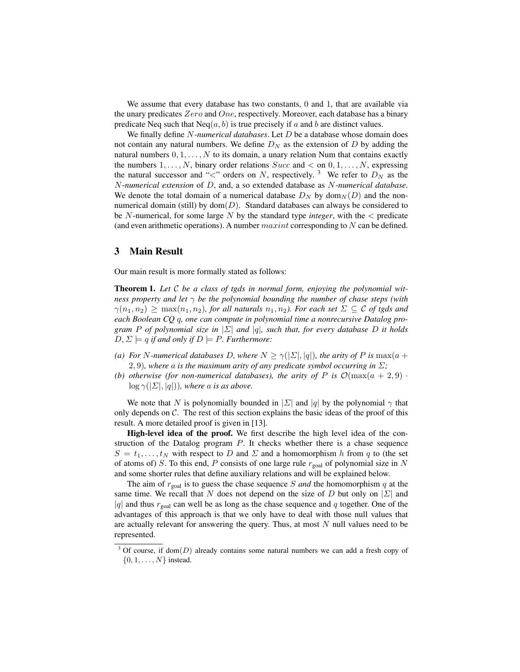We assume that every database has two constants, 0 and 1, that are available via the unary predicates Zero and One, respectively. Moreover, each database has a binary predicate Neq such that  $Neq(a, b)$  is true precisely if a and b are distinct values.

We finally define N*-numerical databases*. Let D be a database whose domain does not contain any natural numbers. We define  $D<sub>N</sub>$  as the extension of D by adding the natural numbers  $0, 1, \ldots, N$  to its domain, a unary relation Num that contains exactly the numbers  $1, \ldots, N$ , binary order relations  $Succ$  and  $\lt$  on  $0, 1, \ldots, N$ , expressing the natural successor and "<" orders on N, respectively.<sup>3</sup> We refer to  $D<sub>N</sub>$  as the N-*numerical extension* of D, and, a so extended database as N*-numerical database*. We denote the total domain of a numerical database  $D_N$  by dom $_N(D)$  and the nonnumerical domain (still) by  $dom(D)$ . Standard databases can always be considered to be N-numerical, for some large N by the standard type *integer*, with the < predicate (and even arithmetic operations). A number  $maxint$  corresponding to N can be defined.

## 3 Main Result

Our main result is more formally stated as follows:

Theorem 1. *Let* C *be a class of tgds in normal form, enjoying the polynomial witness property and let* γ *be the polynomial bounding the number of chase steps (with*  $\gamma(n_1, n_2) \geq \max(n_1, n_2)$ , for all naturals  $n_1, n_2$ ). For each set  $\Sigma \subseteq C$  of tgds and *each Boolean CQ* q*, one can compute in polynomial time a nonrecursive Datalog program* P *of polynomial size in* |Σ| *and* |q|*, such that, for every database* D *it holds*  $D, \Sigma \models q$  *if and only if*  $D \models P$ *. Furthermore:* 

- *(a)* For N-numerical databases D, where  $N > \gamma(|\Sigma|, |q|)$ , the arity of P is max(a + 2, 9), where a is the maximum arity of any predicate symbol occurring in  $\Sigma$ ;
- *(b) otherwise (for non-numerical databases), the arity of* P *is*  $\mathcal{O}(\max(a + 2, 9))$  $\log \gamma(|\Sigma|, |q|)$ *), where a is as above.*

We note that N is polynomially bounded in  $|\Sigma|$  and  $|q|$  by the polynomial  $\gamma$  that only depends on  $C$ . The rest of this section explains the basic ideas of the proof of this result. A more detailed proof is given in [13].

High-level idea of the proof. We first describe the high level idea of the construction of the Datalog program  $P$ . It checks whether there is a chase sequence  $S = t_1, \ldots, t_N$  with respect to D and  $\Sigma$  and a homomorphism h from q to (the set of atoms of) S. To this end, P consists of one large rule  $r_{\text{goal}}$  of polynomial size in N and some shorter rules that define auxiliary relations and will be explained below.

The aim of  $r_{\text{goal}}$  is to guess the chase sequence S and the homomorphism q at the same time. We recall that N does not depend on the size of D but only on  $|\Sigma|$  and |q| and thus  $r_{\text{goal}}$  can well be as long as the chase sequence and q together. One of the advantages of this approach is that we only have to deal with those null values that are actually relevant for answering the query. Thus, at most  $N$  null values need to be represented.

 $3$  Of course, if dom(D) already contains some natural numbers we can add a fresh copy of  $\{0, 1, \ldots, N\}$  instead.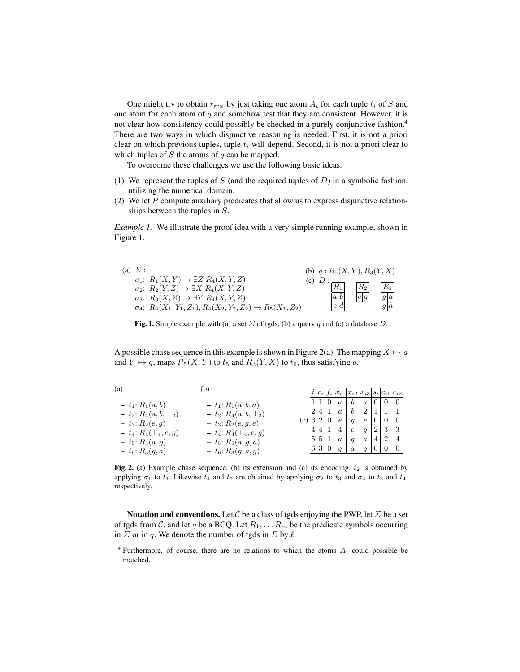One might try to obtain  $r_{\text{goal}}$  by just taking one atom  $A_i$  for each tuple  $t_i$  of S and one atom for each atom of  $q$  and somehow test that they are consistent. However, it is not clear how consistency could possibly be checked in a purely conjunctive fashion.<sup>4</sup> There are two ways in which disjunctive reasoning is needed. First, it is not a priori clear on which previous tuples, tuple  $t_i$  will depend. Second, it is not a priori clear to which tuples of  $S$  the atoms of  $q$  can be mapped.

To overcome these challenges we use the following basic ideas.

- (1) We represent the tuples of  $S$  (and the required tuples of  $D$ ) in a symbolic fashion, utilizing the numerical domain.
- (2) We let  $P$  compute auxiliary predicates that allow us to express disjunctive relationships between the tuples in S.

*Example 1*. We illustrate the proof idea with a very simple running example, shown in Figure 1.



Fig. 1. Simple example with (a) a set  $\Sigma$  of tgds, (b) a query q and (c) a database D.

A possible chase sequence in this example is shown in Figure 2(a). The mapping  $X \mapsto a$ and  $Y \mapsto g$ , maps  $R_5(X, Y)$  to  $t_5$  and  $R_3(Y, X)$  to  $t_6$ , thus satisfying q.

| (a)                            |                                |                 |                |                 | $\frac{i}{r_i}$ $\frac{1}{r_i}$ $\frac{1}{r_i}$ $\frac{1}{x_{i1}}$ $\frac{1}{x_{i2}}$ $\frac{1}{x_{i3}}$ $\frac{1}{s_i}$ $\frac{1}{c_{i1}}$ $\frac{1}{c_{i2}}$ |                  |                  |   |                               |                |
|--------------------------------|--------------------------------|-----------------|----------------|-----------------|----------------------------------------------------------------------------------------------------------------------------------------------------------------|------------------|------------------|---|-------------------------------|----------------|
| $- t_1: R_1(a, b)$             | $- t_1: R_1(a, b, a)$          |                 |                |                 | $\boldsymbol{a}$                                                                                                                                               | $\boldsymbol{b}$ | $\boldsymbol{a}$ |   | $0+0$                         | $\overline{0}$ |
| $- t_2: R_4(a, b, \perp_2)$    | $- t_2: R_4(a, b, \perp_2)$    | $ 2\rangle$     |                | 4 1             | $\alpha$                                                                                                                                                       | $\bm{b}$         | 2  1  1  1       |   |                               |                |
| $- t_3: R_2(e,g)$              | $- t_3: R_2(e, q, e)$          | $(c)$  3  2   0 |                |                 | $\epsilon$                                                                                                                                                     | $\mathfrak{g}$   | $\epsilon$       |   | 0 <sup>1</sup>                |                |
| $- t_4$ : $R_4(\perp_4, e, g)$ | $- t_4$ : $R_4(\perp_4, e, g)$ |                 |                | 4 4 1           | 4                                                                                                                                                              | $\epsilon$       | $\overline{g}$   |   | $\lfloor 2 \rfloor 3 \rfloor$ |                |
| $- t_5$ : $R_5(a,q)$           | $- t_5: R_5(a, g, a)$          | 5               | 5 <sup>1</sup> | $\vert 1 \vert$ | $\boldsymbol{a}$                                                                                                                                               | g                | $\boldsymbol{a}$ | 4 | $\overline{2}$                | 4              |
| $- t_6: R_3(g,a)$              | $- t_6: R_3(g, a, g)$          |                 |                |                 | 6 3 0 g                                                                                                                                                        | $\boldsymbol{a}$ | $\mathfrak{g}$   |   | 0 <sub>0</sub>                |                |

Fig. 2. (a) Example chase sequence, (b) its extension and (c) its encoding.  $t_2$  is obtained by applying  $\sigma_1$  to  $t_1$ . Likewise  $t_4$  and  $t_5$  are obtained by applying  $\sigma_2$  to  $t_3$  and  $\sigma_4$  to  $t_2$  and  $t_4$ , respectively.

Notation and conventions. Let C be a class of tgds enjoying the PWP, let  $\Sigma$  be a set of tgds from C, and let q be a BCQ. Let  $R_1, \ldots, R_m$  be the predicate symbols occurring in  $\Sigma$  or in q. We denote the number of tgds in  $\Sigma$  by  $\ell$ .

<sup>&</sup>lt;sup>4</sup> Furthermore, of course, there are no relations to which the atoms  $A_i$  could possible be matched.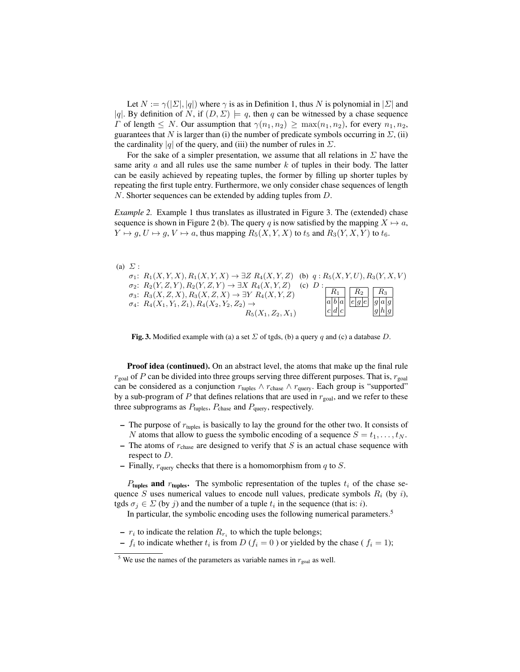Let  $N := \gamma(|\Sigma|, |q|)$  where  $\gamma$  is as in Definition 1, thus N is polynomial in  $|\Sigma|$  and |q|. By definition of N, if  $(D, \Sigma) \models q$ , then q can be witnessed by a chase sequence  $\Gamma$  of length  $\leq N$ . Our assumption that  $\gamma(n_1, n_2) \geq \max(n_1, n_2)$ , for every  $n_1, n_2$ , guarantees that N is larger than (i) the number of predicate symbols occurring in  $\Sigma$ , (ii) the cardinality |q| of the query, and (iii) the number of rules in  $\Sigma$ .

For the sake of a simpler presentation, we assume that all relations in  $\Sigma$  have the same arity  $\alpha$  and all rules use the same number k of tuples in their body. The latter can be easily achieved by repeating tuples, the former by filling up shorter tuples by repeating the first tuple entry. Furthermore, we only consider chase sequences of length N. Shorter sequences can be extended by adding tuples from D.

*Example 2.* Example 1 thus translates as illustrated in Figure 3. The (extended) chase sequence is shown in Figure 2 (b). The query q is now satisfied by the mapping  $X \mapsto a$ ,  $Y \mapsto q$ ,  $U \mapsto q$ ,  $V \mapsto a$ , thus mapping  $R_5(X, Y, X)$  to  $t_5$  and  $R_3(Y, X, Y)$  to  $t_6$ .



Fig. 3. Modified example with (a) a set  $\Sigma$  of tgds, (b) a query q and (c) a database D.

Proof idea (continued). On an abstract level, the atoms that make up the final rule  $r_{\text{goal}}$  of P can be divided into three groups serving three different purposes. That is,  $r_{\text{goal}}$ can be considered as a conjunction  $r_{\text{tuples}} \wedge r_{\text{chase}} \wedge r_{\text{query}}$ . Each group is "supported" by a sub-program of P that defines relations that are used in  $r_{\text{goal}}$ , and we refer to these three subprograms as  $P_{\text{tuples}}$ ,  $P_{\text{chase}}$  and  $P_{\text{query}}$ , respectively.

- The purpose of  $r_{\text{tuples}}$  is basically to lay the ground for the other two. It consists of N atoms that allow to guess the symbolic encoding of a sequence  $S = t_1, \ldots, t_N$ .
- The atoms of  $r_{\text{chase}}$  are designed to verify that S is an actual chase sequence with respect to D.
- Finally,  $r_{query}$  checks that there is a homomorphism from q to  $S$ .

 $P_{\text{tuples}}$  and  $r_{\text{tuples}}$ . The symbolic representation of the tuples  $t_i$  of the chase sequence S uses numerical values to encode null values, predicate symbols  $R_i$  (by i), tgds  $\sigma_j \in \Sigma$  (by j) and the number of a tuple  $t_i$  in the sequence (that is: *i*).

In particular, the symbolic encoding uses the following numerical parameters.<sup>5</sup>

- $r_i$  to indicate the relation  $R_{r_i}$  to which the tuple belongs;
- $f_i$  to indicate whether  $t_i$  is from  $D(f_i = 0)$  or yielded by the chase ( $f_i = 1$ );

<sup>&</sup>lt;sup>5</sup> We use the names of the parameters as variable names in  $r_{\text{goal}}$  as well.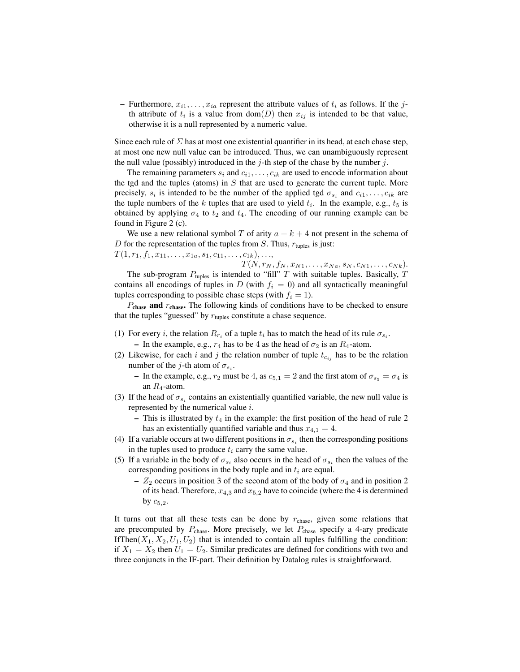– Furthermore,  $x_{i1}, \ldots, x_{ia}$  represent the attribute values of  $t_i$  as follows. If the jth attribute of  $t_i$  is a value from dom $(D)$  then  $x_{ij}$  is intended to be that value, otherwise it is a null represented by a numeric value.

Since each rule of  $\Sigma$  has at most one existential quantifier in its head, at each chase step, at most one new null value can be introduced. Thus, we can unambiguously represent the null value (possibly) introduced in the  $j$ -th step of the chase by the number  $j$ .

The remaining parameters  $s_i$  and  $c_{i1}, \ldots, c_{ik}$  are used to encode information about the tgd and the tuples (atoms) in  $S$  that are used to generate the current tuple. More precisely,  $s_i$  is intended to be the number of the applied tgd  $\sigma_{s_i}$  and  $c_{i1}, \ldots, c_{ik}$  are the tuple numbers of the  $k$  tuples that are used to yield  $t_i$ . In the example, e.g.,  $t_5$  is obtained by applying  $\sigma_4$  to  $t_2$  and  $t_4$ . The encoding of our running example can be found in Figure 2 (c).

We use a new relational symbol T of arity  $a + k + 4$  not present in the schema of D for the representation of the tuples from S. Thus,  $r_{\text{tuples}}$  is just:  $T(1, r_1, f_1, x_{11}, \ldots, x_{1a}, s_1, c_{11}, \ldots, c_{1k}), \ldots,$ 

 $T(N, r_N, f_N, x_{N1}, \ldots, x_{Na}, s_N, c_{N1}, \ldots, c_{Nk}).$ The sub-program  $P_{\text{tuples}}$  is intended to "fill" T with suitable tuples. Basically, T contains all encodings of tuples in  $D$  (with  $f_i = 0$ ) and all syntactically meaningful tuples corresponding to possible chase steps (with  $f_i = 1$ ).

 $P_{\text{chase}}$  and  $r_{\text{chase}}$ . The following kinds of conditions have to be checked to ensure that the tuples "guessed" by  $r_{\text{tuples}}$  constitute a chase sequence.

- (1) For every *i*, the relation  $R_{r_i}$  of a tuple  $t_i$  has to match the head of its rule  $\sigma_{s_i}$ .
- In the example, e.g.,  $r_4$  has to be 4 as the head of  $\sigma_2$  is an  $R_4$ -atom.
- (2) Likewise, for each i and j the relation number of tuple  $t_{c_{ij}}$  has to be the relation number of the *j*-th atom of  $\sigma_{s_i}$ .
	- In the example, e.g.,  $r_2$  must be 4, as  $c_{5,1} = 2$  and the first atom of  $\sigma_{s_5} = \sigma_4$  is an  $R_4$ -atom.
- (3) If the head of  $\sigma_{s_i}$  contains an existentially quantified variable, the new null value is represented by the numerical value i.
	- This is illustrated by  $t_4$  in the example: the first position of the head of rule 2 has an existentially quantified variable and thus  $x_{4,1} = 4$ .
- (4) If a variable occurs at two different positions in  $\sigma_{s_i}$  then the corresponding positions in the tuples used to produce  $t_i$  carry the same value.
- (5) If a variable in the body of  $\sigma_{s_i}$  also occurs in the head of  $\sigma_{s_i}$  then the values of the corresponding positions in the body tuple and in  $t_i$  are equal.
	- $Z_2$  occurs in position 3 of the second atom of the body of  $\sigma_4$  and in position 2 of its head. Therefore,  $x_{4,3}$  and  $x_{5,2}$  have to coincide (where the 4 is determined by  $c_{5,2}$ .

It turns out that all these tests can be done by  $r_{\text{chase}}$ , given some relations that are precomputed by  $P_{\text{chase}}$ . More precisely, we let  $P_{\text{chase}}$  specify a 4-ary predicate If Then $(X_1, X_2, U_1, U_2)$  that is intended to contain all tuples fulfilling the condition: if  $X_1 = X_2$  then  $U_1 = U_2$ . Similar predicates are defined for conditions with two and three conjuncts in the IF-part. Their definition by Datalog rules is straightforward.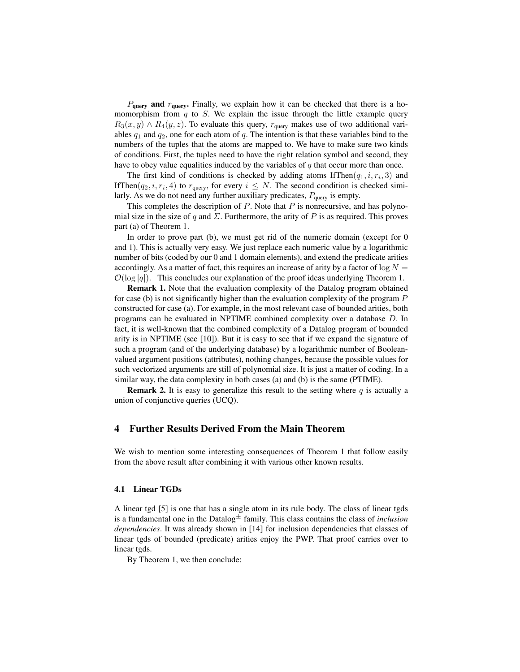$P_{\text{query}}$  and  $r_{\text{query}}$ . Finally, we explain how it can be checked that there is a homomorphism from  $q$  to  $S$ . We explain the issue through the little example query  $R_3(x, y) \wedge R_4(y, z)$ . To evaluate this query,  $r_{query}$  makes use of two additional variables  $q_1$  and  $q_2$ , one for each atom of  $q$ . The intention is that these variables bind to the numbers of the tuples that the atoms are mapped to. We have to make sure two kinds of conditions. First, the tuples need to have the right relation symbol and second, they have to obey value equalities induced by the variables of  $q$  that occur more than once.

The first kind of conditions is checked by adding atoms IfThen $(q_1, i, r_i, 3)$  and If Then  $(q_2, i, r_i, 4)$  to  $r_{query}$ , for every  $i \leq N$ . The second condition is checked similarly. As we do not need any further auxiliary predicates,  $P_{query}$  is empty.

This completes the description of  $P$ . Note that  $P$  is nonrecursive, and has polynomial size in the size of q and  $\Sigma$ . Furthermore, the arity of P is as required. This proves part (a) of Theorem 1.

In order to prove part (b), we must get rid of the numeric domain (except for 0 and 1). This is actually very easy. We just replace each numeric value by a logarithmic number of bits (coded by our 0 and 1 domain elements), and extend the predicate arities accordingly. As a matter of fact, this requires an increase of arity by a factor of  $\log N =$  $\mathcal{O}(\log |q|)$ . This concludes our explanation of the proof ideas underlying Theorem 1.

Remark 1. Note that the evaluation complexity of the Datalog program obtained for case (b) is not significantly higher than the evaluation complexity of the program  $P$ constructed for case (a). For example, in the most relevant case of bounded arities, both programs can be evaluated in NPTIME combined complexity over a database D. In fact, it is well-known that the combined complexity of a Datalog program of bounded arity is in NPTIME (see [10]). But it is easy to see that if we expand the signature of such a program (and of the underlying database) by a logarithmic number of Booleanvalued argument positions (attributes), nothing changes, because the possible values for such vectorized arguments are still of polynomial size. It is just a matter of coding. In a similar way, the data complexity in both cases (a) and (b) is the same (PTIME).

**Remark 2.** It is easy to generalize this result to the setting where q is actually a union of conjunctive queries (UCQ).

# 4 Further Results Derived From the Main Theorem

We wish to mention some interesting consequences of Theorem 1 that follow easily from the above result after combining it with various other known results.

#### 4.1 Linear TGDs

A linear tgd [5] is one that has a single atom in its rule body. The class of linear tgds is a fundamental one in the Datalog<sup> $\pm$ </sup> family. This class contains the class of *inclusion dependencies*. It was already shown in [14] for inclusion dependencies that classes of linear tgds of bounded (predicate) arities enjoy the PWP. That proof carries over to linear tgds.

By Theorem 1, we then conclude: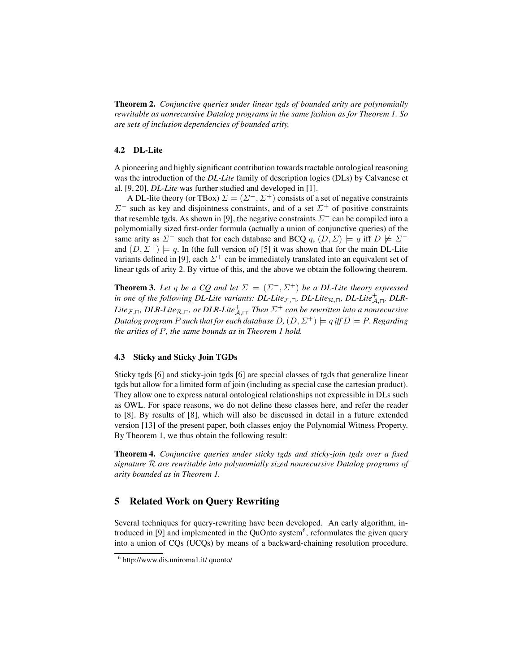Theorem 2. *Conjunctive queries under linear tgds of bounded arity are polynomially rewritable as nonrecursive Datalog programs in the same fashion as for Theorem 1. So are sets of inclusion dependencies of bounded arity.*

#### 4.2 DL-Lite

A pioneering and highly significant contribution towards tractable ontological reasoning was the introduction of the *DL-Lite* family of description logics (DLs) by Calvanese et al. [9, 20]. *DL-Lite* was further studied and developed in [1].

A DL-lite theory (or TBox)  $\Sigma = (\Sigma^-, \Sigma^+)$  consists of a set of negative constraints  $\Sigma^-$  such as key and disjointness constraints, and of a set  $\Sigma^+$  of positive constraints that resemble tgds. As shown in [9], the negative constraints  $\Sigma^-$  can be compiled into a polymomially sized first-order formula (actually a union of conjunctive queries) of the same arity as  $\Sigma^-$  such that for each database and BCQ q,  $(D, \Sigma) \models q$  iff  $D \not\models \Sigma^$ and  $(D, \Sigma^+) \models q$ . In (the full version of) [5] it was shown that for the main DL-Lite variants defined in [9], each  $\Sigma^+$  can be immediately translated into an equivalent set of linear tgds of arity 2. By virtue of this, and the above we obtain the following theorem.

**Theorem 3.** Let q be a CQ and let  $\Sigma = (\Sigma^-, \Sigma^+)$  be a DL-Lite theory expressed in one of the following DL-Lite variants: DL-Lite<sub>*F*, $\Box$ </sub>, DL-Lite<sub>R, $\Box$ </sub>, DL-Lite<sup>+</sup><sub>A, $\Box$ </sub>, DLR-Lite<sub>F, $\sqcap$ </sub>, DLR-Lite<sub>R, $\sqcap$ </sub>, or DLR-Lite $\frac{+}{\mathcal{A}}, \sqcap$ . Then  $\Sigma^+$  can be rewritten into a nonrecursive *Datalog program P such that for each database D*,  $(D, \Sigma^{+}) \models q$  *iff*  $D \models P$ *. Regarding the arities of* P*, the same bounds as in Theorem 1 hold.*

#### 4.3 Sticky and Sticky Join TGDs

Sticky tgds [6] and sticky-join tgds [6] are special classes of tgds that generalize linear tgds but allow for a limited form of join (including as special case the cartesian product). They allow one to express natural ontological relationships not expressible in DLs such as OWL. For space reasons, we do not define these classes here, and refer the reader to [8]. By results of [8], which will also be discussed in detail in a future extended version [13] of the present paper, both classes enjoy the Polynomial Witness Property. By Theorem 1, we thus obtain the following result:

Theorem 4. *Conjunctive queries under sticky tgds and sticky-join tgds over a fixed signature* R *are rewritable into polynomially sized nonrecursive Datalog programs of arity bounded as in Theorem 1.*

# 5 Related Work on Query Rewriting

Several techniques for query-rewriting have been developed. An early algorithm, introduced in [9] and implemented in the QuOnto system<sup>6</sup>, reformulates the given query into a union of CQs (UCQs) by means of a backward-chaining resolution procedure.

<sup>6</sup> http://www.dis.uniroma1.it/ quonto/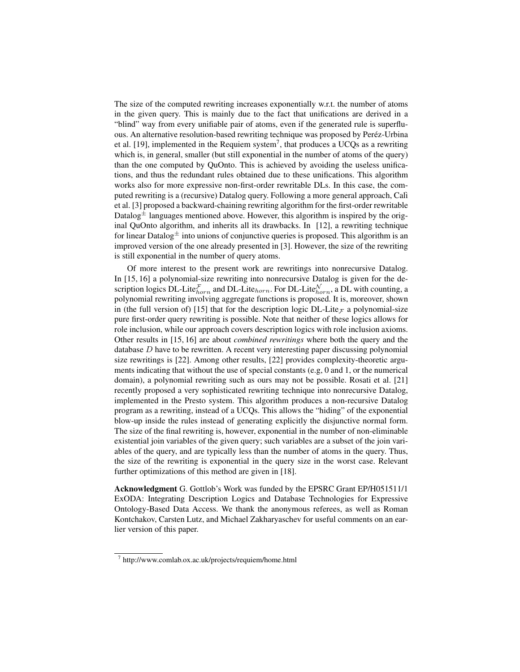The size of the computed rewriting increases exponentially w.r.t. the number of atoms in the given query. This is mainly due to the fact that unifications are derived in a "blind" way from every unifiable pair of atoms, even if the generated rule is superfluous. An alternative resolution-based rewriting technique was proposed by Peréz-Urbina et al. [19], implemented in the Requiem system<sup>7</sup>, that produces a UCQs as a rewriting which is, in general, smaller (but still exponential in the number of atoms of the query) than the one computed by QuOnto. This is achieved by avoiding the useless unifications, and thus the redundant rules obtained due to these unifications. This algorithm works also for more expressive non-first-order rewritable DLs. In this case, the computed rewriting is a (recursive) Datalog query. Following a more general approach, Calì et al. [3] proposed a backward-chaining rewriting algorithm for the first-order rewritable Datalog $\pm$  languages mentioned above. However, this algorithm is inspired by the original QuOnto algorithm, and inherits all its drawbacks. In [12], a rewriting technique for linear Datalog $\pm$  into unions of conjunctive queries is proposed. This algorithm is an improved version of the one already presented in [3]. However, the size of the rewriting is still exponential in the number of query atoms.

Of more interest to the present work are rewritings into nonrecursive Datalog. In [15, 16] a polynomial-size rewriting into nonrecursive Datalog is given for the description logics DL-Lite $_{horn}^{\mathcal{F}}$  and DL-Lite $_{horn}^{\mathcal{N}}$ . For DL-Lite $_{horn}^{\mathcal{N}}$ , a DL with counting, a polynomial rewriting involving aggregate functions is proposed. It is, moreover, shown in (the full version of) [15] that for the description logic DL-Lite  $\tau$  a polynomial-size pure first-order query rewriting is possible. Note that neither of these logics allows for role inclusion, while our approach covers description logics with role inclusion axioms. Other results in [15, 16] are about *combined rewritings* where both the query and the database  $D$  have to be rewritten. A recent very interesting paper discussing polynomial size rewritings is [22]. Among other results, [22] provides complexity-theoretic arguments indicating that without the use of special constants (e.g, 0 and 1, or the numerical domain), a polynomial rewriting such as ours may not be possible. Rosati et al. [21] recently proposed a very sophisticated rewriting technique into nonrecursive Datalog, implemented in the Presto system. This algorithm produces a non-recursive Datalog program as a rewriting, instead of a UCQs. This allows the "hiding" of the exponential blow-up inside the rules instead of generating explicitly the disjunctive normal form. The size of the final rewriting is, however, exponential in the number of non-eliminable existential join variables of the given query; such variables are a subset of the join variables of the query, and are typically less than the number of atoms in the query. Thus, the size of the rewriting is exponential in the query size in the worst case. Relevant further optimizations of this method are given in [18].

Acknowledgment G. Gottlob's Work was funded by the EPSRC Grant EP/H051511/1 ExODA: Integrating Description Logics and Database Technologies for Expressive Ontology-Based Data Access. We thank the anonymous referees, as well as Roman Kontchakov, Carsten Lutz, and Michael Zakharyaschev for useful comments on an earlier version of this paper.

<sup>7</sup> http://www.comlab.ox.ac.uk/projects/requiem/home.html